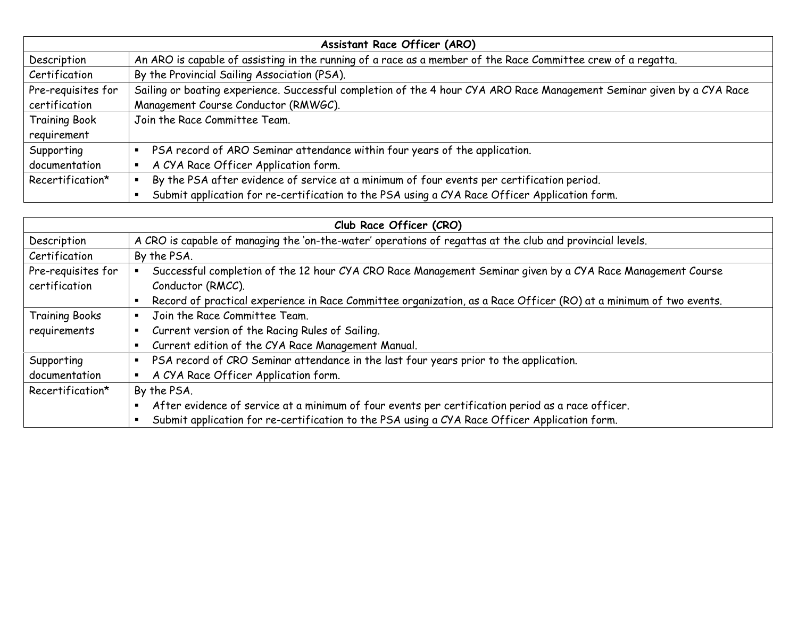| Assistant Race Officer (ARO) |                                                                                                                        |  |
|------------------------------|------------------------------------------------------------------------------------------------------------------------|--|
| Description                  | An ARO is capable of assisting in the running of a race as a member of the Race Committee crew of a regatta.           |  |
| Certification                | By the Provincial Sailing Association (PSA).                                                                           |  |
| Pre-requisites for           | Sailing or boating experience. Successful completion of the 4 hour CYA ARO Race Management Seminar given by a CYA Race |  |
| certification                | Management Course Conductor (RMWGC).                                                                                   |  |
| <b>Training Book</b>         | Join the Race Committee Team.                                                                                          |  |
| requirement                  |                                                                                                                        |  |
| Supporting                   | PSA record of ARO Seminar attendance within four years of the application.                                             |  |
| documentation                | A CYA Race Officer Application form.                                                                                   |  |
| Recertification*             | By the PSA after evidence of service at a minimum of four events per certification period.                             |  |
|                              | Submit application for re-certification to the PSA using a CYA Race Officer Application form.                          |  |

| Club Race Officer (CRO) |                                                                                                                   |  |  |  |
|-------------------------|-------------------------------------------------------------------------------------------------------------------|--|--|--|
| Description             | A CRO is capable of managing the 'on-the-water' operations of regattas at the club and provincial levels.         |  |  |  |
| Certification           | By the PSA.                                                                                                       |  |  |  |
| Pre-requisites for      | Successful completion of the 12 hour CYA CRO Race Management Seminar given by a CYA Race Management Course        |  |  |  |
| certification           | Conductor (RMCC).                                                                                                 |  |  |  |
|                         | Record of practical experience in Race Committee organization, as a Race Officer (RO) at a minimum of two events. |  |  |  |
| <b>Training Books</b>   | Join the Race Committee Team.                                                                                     |  |  |  |
| requirements            | Current version of the Racing Rules of Sailing.<br>٠                                                              |  |  |  |
|                         | Current edition of the CYA Race Management Manual.                                                                |  |  |  |
| Supporting              | PSA record of CRO Seminar attendance in the last four years prior to the application.                             |  |  |  |
| documentation           | A CYA Race Officer Application form.<br>٠                                                                         |  |  |  |
| Recertification*        | By the PSA.                                                                                                       |  |  |  |
|                         | After evidence of service at a minimum of four events per certification period as a race officer.                 |  |  |  |
|                         | Submit application for re-certification to the PSA using a CYA Race Officer Application form.                     |  |  |  |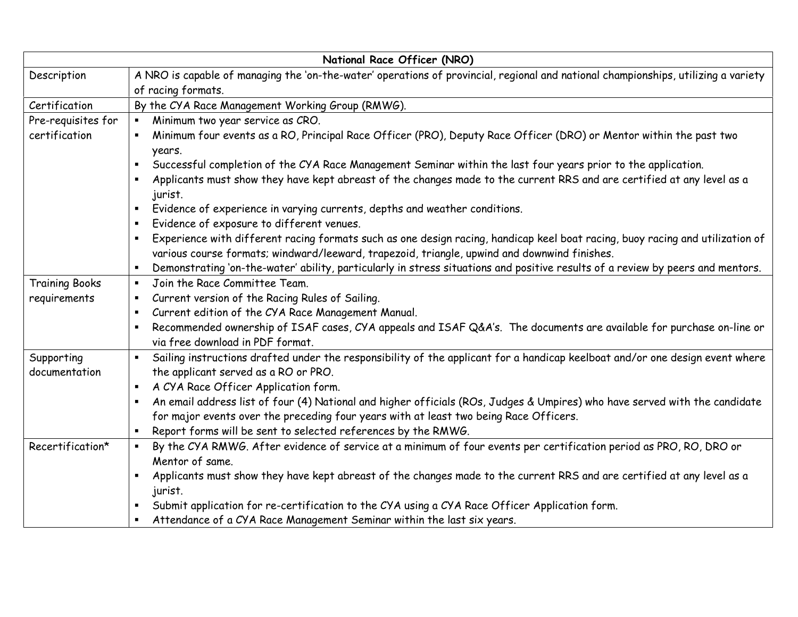| National Race Officer (NRO) |                                                                                                                                        |  |  |  |  |
|-----------------------------|----------------------------------------------------------------------------------------------------------------------------------------|--|--|--|--|
| Description                 | A NRO is capable of managing the 'on-the-water' operations of provincial, regional and national championships, utilizing a variety     |  |  |  |  |
|                             | of racing formats.                                                                                                                     |  |  |  |  |
| Certification               | By the CYA Race Management Working Group (RMWG).                                                                                       |  |  |  |  |
| Pre-requisites for          | Minimum two year service as CRO.<br>$\blacksquare$                                                                                     |  |  |  |  |
| certification               | Minimum four events as a RO, Principal Race Officer (PRO), Deputy Race Officer (DRO) or Mentor within the past two                     |  |  |  |  |
|                             | years.                                                                                                                                 |  |  |  |  |
|                             | Successful completion of the CYA Race Management Seminar within the last four years prior to the application.<br>٠                     |  |  |  |  |
|                             | Applicants must show they have kept abreast of the changes made to the current RRS and are certified at any level as a<br>٠<br>jurist. |  |  |  |  |
|                             | Evidence of experience in varying currents, depths and weather conditions.                                                             |  |  |  |  |
|                             | Evidence of exposure to different venues.<br>٠                                                                                         |  |  |  |  |
|                             | Experience with different racing formats such as one design racing, handicap keel boat racing, buoy racing and utilization of<br>٠     |  |  |  |  |
|                             | various course formats; windward/leeward, trapezoid, triangle, upwind and downwind finishes.                                           |  |  |  |  |
|                             | Demonstrating 'on-the-water' ability, particularly in stress situations and positive results of a review by peers and mentors.<br>٠    |  |  |  |  |
| <b>Training Books</b>       | Join the Race Committee Team.<br>$\blacksquare$                                                                                        |  |  |  |  |
| requirements                | Current version of the Racing Rules of Sailing.<br>$\blacksquare$                                                                      |  |  |  |  |
|                             | Current edition of the CYA Race Management Manual.<br>٠                                                                                |  |  |  |  |
|                             | Recommended ownership of ISAF cases, CYA appeals and ISAF Q&A's. The documents are available for purchase on-line or                   |  |  |  |  |
|                             | via free download in PDF format.                                                                                                       |  |  |  |  |
| Supporting                  | Sailing instructions drafted under the responsibility of the applicant for a handicap keelboat and/or one design event where<br>٠      |  |  |  |  |
| documentation               | the applicant served as a RO or PRO.                                                                                                   |  |  |  |  |
|                             | A CYA Race Officer Application form.<br>٠                                                                                              |  |  |  |  |
|                             | An email address list of four (4) National and higher officials (ROs, Judges & Umpires) who have served with the candidate<br>٠        |  |  |  |  |
|                             | for major events over the preceding four years with at least two being Race Officers.                                                  |  |  |  |  |
|                             | Report forms will be sent to selected references by the RMWG.                                                                          |  |  |  |  |
| Recertification*            | By the CYA RMWG. After evidence of service at a minimum of four events per certification period as PRO, RO, DRO or<br>$\blacksquare$   |  |  |  |  |
|                             | Mentor of same.                                                                                                                        |  |  |  |  |
|                             | Applicants must show they have kept abreast of the changes made to the current RRS and are certified at any level as a<br>٠            |  |  |  |  |
|                             | jurist.                                                                                                                                |  |  |  |  |
|                             | Submit application for re-certification to the CYA using a CYA Race Officer Application form.<br>٠                                     |  |  |  |  |
|                             | Attendance of a CYA Race Management Seminar within the last six years.                                                                 |  |  |  |  |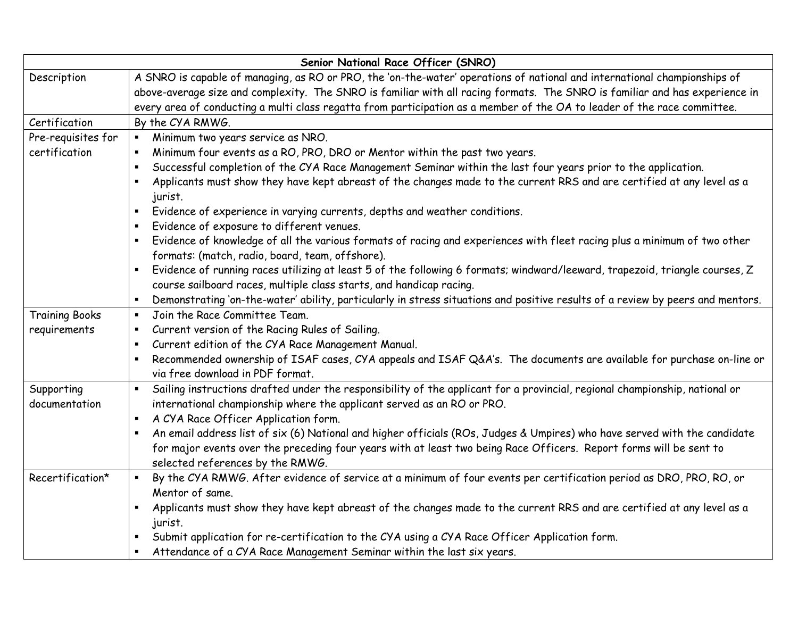| Senior National Race Officer (SNRO) |                                                                                                                                                          |  |  |  |
|-------------------------------------|----------------------------------------------------------------------------------------------------------------------------------------------------------|--|--|--|
| Description                         | A SNRO is capable of managing, as RO or PRO, the 'on-the-water' operations of national and international championships of                                |  |  |  |
|                                     | above-average size and complexity. The SNRO is familiar with all racing formats. The SNRO is familiar and has experience in                              |  |  |  |
|                                     | every area of conducting a multi class regatta from participation as a member of the OA to leader of the race committee.                                 |  |  |  |
| Certification                       | By the CYA RMWG.                                                                                                                                         |  |  |  |
| Pre-requisites for                  | Minimum two years service as NRO.<br>$\blacksquare$                                                                                                      |  |  |  |
| certification                       | Minimum four events as a RO, PRO, DRO or Mentor within the past two years.                                                                               |  |  |  |
|                                     | Successful completion of the CYA Race Management Seminar within the last four years prior to the application.<br>п                                       |  |  |  |
|                                     | Applicants must show they have kept abreast of the changes made to the current RRS and are certified at any level as a<br>п<br>jurist.                   |  |  |  |
|                                     | Evidence of experience in varying currents, depths and weather conditions.<br>$\blacksquare$                                                             |  |  |  |
|                                     | Evidence of exposure to different venues.<br>$\blacksquare$                                                                                              |  |  |  |
|                                     | Evidence of knowledge of all the various formats of racing and experiences with fleet racing plus a minimum of two other                                 |  |  |  |
|                                     | formats: (match, radio, board, team, offshore).                                                                                                          |  |  |  |
|                                     | Evidence of running races utilizing at least 5 of the following 6 formats; windward/leeward, trapezoid, triangle courses, Z<br>$\blacksquare$            |  |  |  |
|                                     | course sailboard races, multiple class starts, and handicap racing.                                                                                      |  |  |  |
|                                     | Demonstrating 'on-the-water' ability, particularly in stress situations and positive results of a review by peers and mentors.<br>п.                     |  |  |  |
| <b>Training Books</b>               | Join the Race Committee Team.<br>$\blacksquare$                                                                                                          |  |  |  |
| requirements                        | Current version of the Racing Rules of Sailing.<br>$\blacksquare$                                                                                        |  |  |  |
|                                     | Current edition of the CYA Race Management Manual.                                                                                                       |  |  |  |
|                                     | Recommended ownership of ISAF cases, CYA appeals and ISAF Q&A's. The documents are available for purchase on-line or<br>via free download in PDF format. |  |  |  |
| Supporting                          | Sailing instructions drafted under the responsibility of the applicant for a provincial, regional championship, national or                              |  |  |  |
| documentation                       | international championship where the applicant served as an RO or PRO.                                                                                   |  |  |  |
|                                     | A CYA Race Officer Application form.                                                                                                                     |  |  |  |
|                                     | An email address list of six (6) National and higher officials (ROs, Judges & Umpires) who have served with the candidate                                |  |  |  |
|                                     | for major events over the preceding four years with at least two being Race Officers. Report forms will be sent to                                       |  |  |  |
|                                     | selected references by the RMWG.                                                                                                                         |  |  |  |
| Recertification*                    | By the CYA RMWG. After evidence of service at a minimum of four events per certification period as DRO, PRO, RO, or<br>$\blacksquare$                    |  |  |  |
|                                     | Mentor of same.                                                                                                                                          |  |  |  |
|                                     | Applicants must show they have kept abreast of the changes made to the current RRS and are certified at any level as a<br>٠                              |  |  |  |
|                                     | jurist.                                                                                                                                                  |  |  |  |
|                                     | Submit application for re-certification to the CYA using a CYA Race Officer Application form.<br>٠                                                       |  |  |  |
|                                     | Attendance of a CYA Race Management Seminar within the last six years.                                                                                   |  |  |  |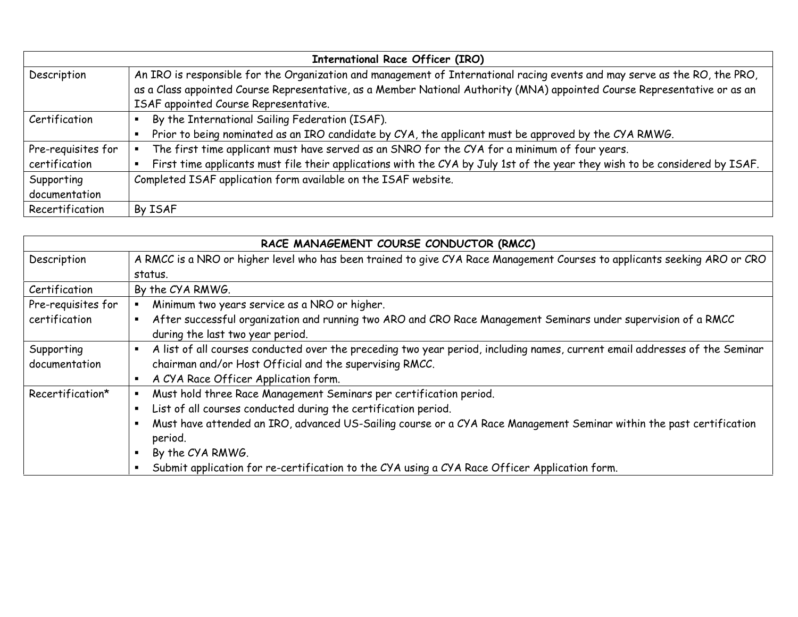| <b>International Race Officer (IRO)</b> |                                                                                                                             |  |
|-----------------------------------------|-----------------------------------------------------------------------------------------------------------------------------|--|
| Description                             | An IRO is responsible for the Organization and management of International racing events and may serve as the RO, the PRO,  |  |
|                                         | as a Class appointed Course Representative, as a Member National Authority (MNA) appointed Course Representative or as an   |  |
|                                         | ISAF appointed Course Representative.                                                                                       |  |
| Certification                           | By the International Sailing Federation (ISAF).                                                                             |  |
|                                         | Prior to being nominated as an IRO candidate by CYA, the applicant must be approved by the CYA RMWG.                        |  |
| Pre-requisites for                      | The first time applicant must have served as an SNRO for the CYA for a minimum of four years.                               |  |
| certification                           | First time applicants must file their applications with the CYA by July 1st of the year they wish to be considered by ISAF. |  |
| Supporting                              | Completed ISAF application form available on the ISAF website.                                                              |  |
| documentation                           |                                                                                                                             |  |
| Recertification                         | By ISAF                                                                                                                     |  |

| RACE MANAGEMENT COURSE CONDUCTOR (RMCC) |                                                                                                                                  |  |  |  |
|-----------------------------------------|----------------------------------------------------------------------------------------------------------------------------------|--|--|--|
| Description                             | A RMCC is a NRO or higher level who has been trained to give CYA Race Management Courses to applicants seeking ARO or CRO        |  |  |  |
|                                         | status.                                                                                                                          |  |  |  |
| Certification                           | By the CYA RMWG.                                                                                                                 |  |  |  |
| Pre-requisites for                      | Minimum two years service as a NRO or higher.                                                                                    |  |  |  |
| certification                           | After successful organization and running two ARO and CRO Race Management Seminars under supervision of a RMCC<br>٠              |  |  |  |
|                                         | during the last two year period.                                                                                                 |  |  |  |
| Supporting                              | A list of all courses conducted over the preceding two year period, including names, current email addresses of the Seminar<br>٠ |  |  |  |
| documentation                           | chairman and/or Host Official and the supervising RMCC.                                                                          |  |  |  |
|                                         | A CYA Race Officer Application form.<br>٠                                                                                        |  |  |  |
| Recertification*                        | Must hold three Race Management Seminars per certification period.<br>٠                                                          |  |  |  |
|                                         | List of all courses conducted during the certification period.                                                                   |  |  |  |
|                                         | Must have attended an IRO, advanced US-Sailing course or a CYA Race Management Seminar within the past certification             |  |  |  |
|                                         | period.                                                                                                                          |  |  |  |
|                                         | By the CYA RMWG.<br>п                                                                                                            |  |  |  |
|                                         | Submit application for re-certification to the CYA using a CYA Race Officer Application form.                                    |  |  |  |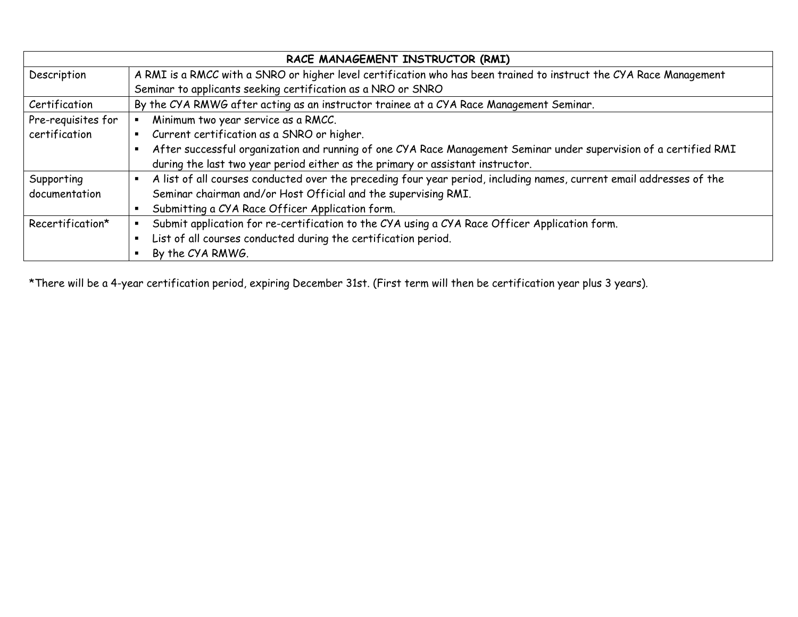| RACE MANAGEMENT INSTRUCTOR (RMI) |                                                                                                                      |  |  |
|----------------------------------|----------------------------------------------------------------------------------------------------------------------|--|--|
| Description                      | A RMI is a RMCC with a SNRO or higher level certification who has been trained to instruct the CYA Race Management   |  |  |
|                                  | Seminar to applicants seeking certification as a NRO or SNRO                                                         |  |  |
| Certification                    | By the CYA RMWG after acting as an instructor trainee at a CYA Race Management Seminar.                              |  |  |
| Pre-requisites for               | Minimum two year service as a RMCC.                                                                                  |  |  |
| certification                    | Current certification as a SNRO or higher.                                                                           |  |  |
|                                  | After successful organization and running of one CYA Race Management Seminar under supervision of a certified RMI    |  |  |
|                                  | during the last two year period either as the primary or assistant instructor.                                       |  |  |
| Supporting                       | A list of all courses conducted over the preceding four year period, including names, current email addresses of the |  |  |
| documentation                    | Seminar chairman and/or Host Official and the supervising RMI.                                                       |  |  |
|                                  | Submitting a CYA Race Officer Application form.                                                                      |  |  |
| Recertification*                 | Submit application for re-certification to the CYA using a CYA Race Officer Application form.                        |  |  |
|                                  | List of all courses conducted during the certification period.                                                       |  |  |
|                                  | By the CYA RMWG.                                                                                                     |  |  |

\*There will be a 4-year certification period, expiring December 31st. (First term will then be certification year plus 3 years).